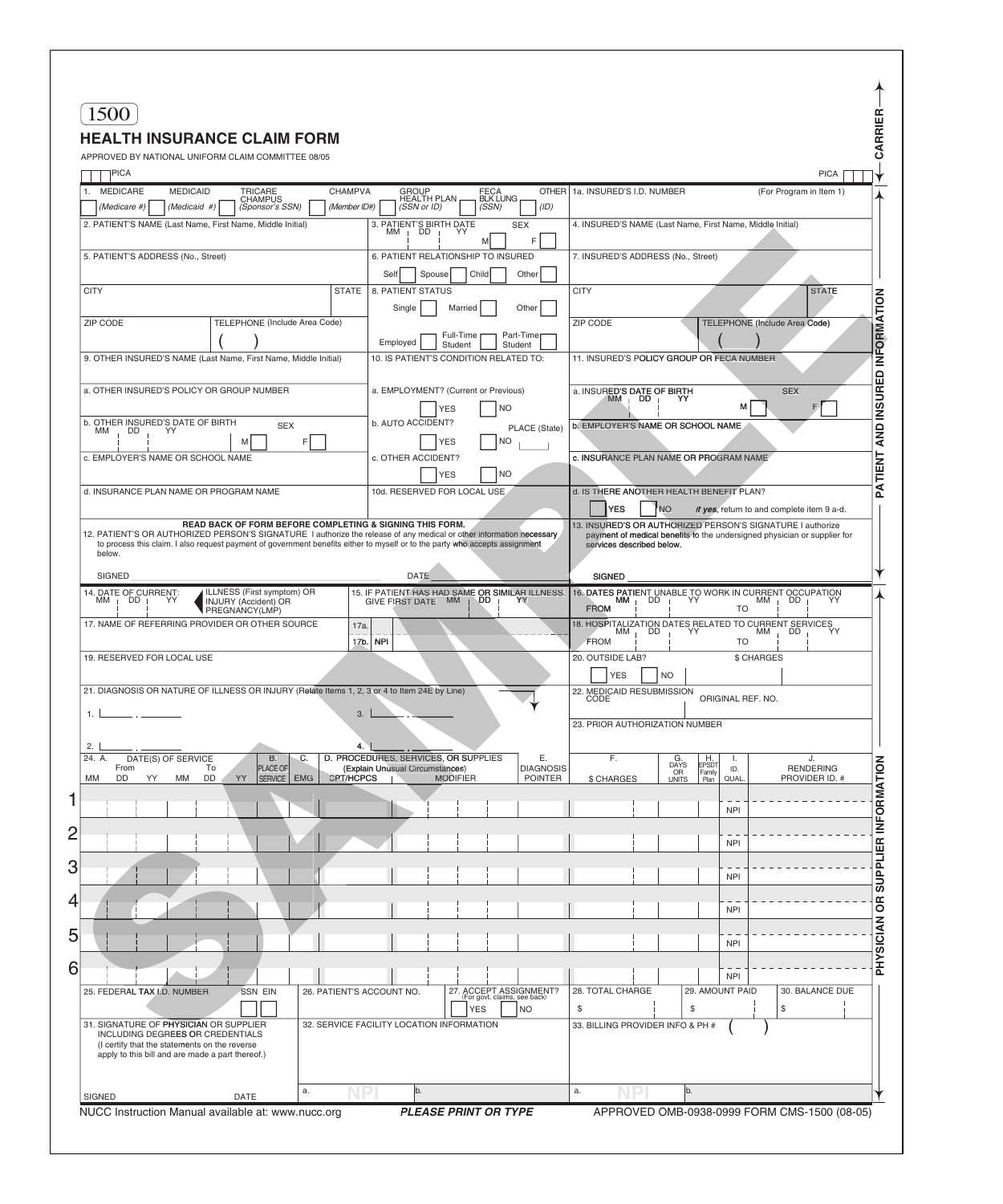| 1500                                                                                                                                                                             |                                                                                     |                                                              |                                                                                                                                        |                                           |                                            |                        |
|----------------------------------------------------------------------------------------------------------------------------------------------------------------------------------|-------------------------------------------------------------------------------------|--------------------------------------------------------------|----------------------------------------------------------------------------------------------------------------------------------------|-------------------------------------------|--------------------------------------------|------------------------|
| <b>HEALTH INSURANCE CLAIM FORM</b>                                                                                                                                               |                                                                                     |                                                              |                                                                                                                                        |                                           |                                            |                        |
| APPROVED BY NATIONAL UNIFORM CLAIM COMMITTEE 08/05                                                                                                                               |                                                                                     |                                                              |                                                                                                                                        |                                           |                                            |                        |
| PICA                                                                                                                                                                             |                                                                                     |                                                              |                                                                                                                                        |                                           |                                            | <b>PICA</b>            |
| 1. MEDICARE<br><b>MEDICAID</b><br>TRICARE<br>CHAMPUS<br>(Medicaid #)<br>(Sponsor's SSN)<br>(Medicare #)                                                                          | <b>CHAMPVA</b><br><b>GROUP</b><br><b>HEALTH PLAN</b><br>(Member ID#)<br>(SSN or ID) | <b>OTHER</b><br>FECA<br>BLK LUNG<br>(ID)<br>(SSN)            | 1a. INSURED'S I.D. NUMBER                                                                                                              |                                           | (For Program in Item 1)                    |                        |
| 2. PATIENT'S NAME (Last Name, First Name, Middle Initial)                                                                                                                        |                                                                                     | <b>SEX</b>                                                   | 4. INSURED'S NAME (Last Name, First Name, Middle Initial)                                                                              |                                           |                                            |                        |
|                                                                                                                                                                                  | 3. PATIENT'S BIRTH DATE<br>MM   DD   YY                                             | F<br>M                                                       |                                                                                                                                        |                                           |                                            |                        |
| 5. PATIENT'S ADDRESS (No., Street)                                                                                                                                               |                                                                                     | 6. PATIENT RELATIONSHIP TO INSURED                           | 7. INSURED'S ADDRESS (No., Street)                                                                                                     |                                           |                                            |                        |
|                                                                                                                                                                                  | Self<br>Spouse                                                                      | Child<br>Other                                               |                                                                                                                                        |                                           |                                            |                        |
| <b>CITY</b>                                                                                                                                                                      | <b>STATE</b><br>8. PATIENT STATUS                                                   |                                                              | <b>CITY</b>                                                                                                                            |                                           |                                            | <b>STATE</b>           |
| ZIP CODE<br>TELEPHONE (Include Area Code)                                                                                                                                        | Single                                                                              | Married<br>Other                                             | ZIP CODE                                                                                                                               |                                           | TELEPHONE (Include Area Code)              |                        |
|                                                                                                                                                                                  | Employed                                                                            | Full-Time<br>Part-Time                                       |                                                                                                                                        |                                           |                                            |                        |
| 9. OTHER INSURED'S NAME (Last Name, First Name, Middle Initial)                                                                                                                  |                                                                                     | Student<br>Student<br>10. IS PATIENT'S CONDITION RELATED TO: | 11. INSURED'S POLICY GROUP OR FECA NUMBER                                                                                              |                                           |                                            |                        |
|                                                                                                                                                                                  |                                                                                     |                                                              |                                                                                                                                        |                                           |                                            |                        |
| a. OTHER INSURED'S POLICY OR GROUP NUMBER                                                                                                                                        |                                                                                     | a. EMPLOYMENT? (Current or Previous)                         | a. INSURED'S DATE OF BIRTH<br>$MM$ DD                                                                                                  | YY                                        | <b>SEX</b>                                 |                        |
|                                                                                                                                                                                  |                                                                                     | <b>YES</b><br><b>NO</b>                                      |                                                                                                                                        |                                           | м                                          | F                      |
| b. OTHER INSURED'S DATE OF BIRTH<br><b>SEX</b><br>DD<br>МM<br>YY.                                                                                                                | b. AUTO ACCIDENT?                                                                   | PLACE (State)<br><b>NO</b>                                   | b. EMPLOYER'S NAME OR SCHOOL NAME                                                                                                      |                                           |                                            |                        |
| F.<br>Μ<br>c. EMPLOYER'S NAME OR SCHOOL NAME                                                                                                                                     | c. OTHER ACCIDENT?                                                                  | <b>YES</b>                                                   | c. INSURANCE PLAN NAME OR PROGRAM NAME                                                                                                 |                                           |                                            |                        |
|                                                                                                                                                                                  |                                                                                     | <b>NO</b><br><b>YES</b>                                      |                                                                                                                                        |                                           |                                            |                        |
| d. INSURANCE PLAN NAME OR PROGRAM NAME                                                                                                                                           | 10d. RESERVED FOR LOCAL USE                                                         |                                                              | d. IS THERE ANOTHER HEALTH BENEFIT PLAN?                                                                                               |                                           |                                            |                        |
|                                                                                                                                                                                  |                                                                                     |                                                              | <b>YES</b><br><b>NO</b>                                                                                                                |                                           | If yes, return to and complete item 9 a-d. |                        |
| READ BACK OF FORM BEFORE COMPLETING & SIGNING THIS FORM.<br>12. PATIENT'S OR AUTHORIZED PERSON'S SIGNATURE I authorize the release of any medical or other information necessary |                                                                                     |                                                              | 13. INSURED'S OR AUTHORIZED PERSON'S SIGNATURE I authorize<br>payment of medical benefits to the undersigned physician or supplier for |                                           |                                            |                        |
| to process this claim. I also request payment of government benefits either to myself or to the party who accepts assignment<br>below.                                           |                                                                                     |                                                              | services described below.                                                                                                              |                                           |                                            |                        |
| <b>SIGNED</b>                                                                                                                                                                    | DATE                                                                                |                                                              | <b>SIGNED</b>                                                                                                                          |                                           |                                            |                        |
| 14. DATE OF CURRENT:<br>MM   DD   YY<br>ILLNESS (First symptom) OR                                                                                                               |                                                                                     | 15. IF PATIENT HAS HAD SAME OR SIMILAR ILLNESS.              | 16. DATES PATIENT UNABLE TO WORK IN CURRENT OCCUPATION MM   DD   YY                                                                    |                                           |                                            |                        |
| <b>INJURY</b> (Accident) OR<br>PREGNANCY(LMP)                                                                                                                                    | GIVE FIRST DATE MM                                                                  | DD <sub>.</sub>                                              | <b>FROM</b>                                                                                                                            |                                           | TO                                         |                        |
| 17. NAME OF REFERRING PROVIDER OR OTHER SOURCE                                                                                                                                   | 17a                                                                                 |                                                              | 18. HOSPITALIZATION DATES RELATED TO CURRENT SERVICES<br>МM                                                                            |                                           | МM                                         |                        |
|                                                                                                                                                                                  | 17b.<br><b>NPI</b>                                                                  | <b>FROM</b>                                                  |                                                                                                                                        | TO                                        |                                            |                        |
| 19. RESERVED FOR LOCAL USE                                                                                                                                                       |                                                                                     |                                                              | 20. OUTSIDE LAB?<br><b>YFS</b>                                                                                                         |                                           | \$ CHARGES                                 |                        |
| 21. DIAGNOSIS OR NATURE OF ILLNESS OR INJURY (Relate Items 1, 2, 3 or 4 to Item 24E by Line)                                                                                     |                                                                                     |                                                              | $NO$<br>22. MEDICAID RESUBMISSION                                                                                                      |                                           |                                            |                        |
| 1.                                                                                                                                                                               | 3.                                                                                  |                                                              | CODE                                                                                                                                   |                                           | ORIGINAL REF. NO.                          |                        |
|                                                                                                                                                                                  |                                                                                     |                                                              | 23. PRIOR AUTHORIZATION NUMBER                                                                                                         |                                           |                                            |                        |
| 2.                                                                                                                                                                               | 4.                                                                                  |                                                              |                                                                                                                                        |                                           |                                            |                        |
| 24. A.<br>DATE(S) OF SERVICE<br><b>B.</b><br>C.<br>PLACE OF<br>From<br>To                                                                                                        | D. PROCEDURES, SERVICES, OR SUPPLIES<br>(Explain Unusual Circumstances)             | Е.<br><b>DIAGNOSIS</b>                                       | F.                                                                                                                                     | H.<br>EPSDT<br>G.<br>DAYS<br>OR<br>Family | ID.                                        | J.<br><b>RENDERING</b> |
| SERVICE   EMG<br><b>DD</b><br>DD<br>YY<br>МM<br>ΜM<br>YY                                                                                                                         | <b>CPT/HCPCS</b>                                                                    | <b>POINTER</b><br><b>MODIFIER</b>                            | \$ CHARGES                                                                                                                             | <b>UNITS</b><br>Plan                      | QUAL                                       | PROVIDER ID. #         |
|                                                                                                                                                                                  |                                                                                     |                                                              |                                                                                                                                        |                                           | <b>NPI</b>                                 |                        |
|                                                                                                                                                                                  |                                                                                     |                                                              |                                                                                                                                        |                                           |                                            |                        |
|                                                                                                                                                                                  |                                                                                     |                                                              |                                                                                                                                        |                                           | <b>NPI</b>                                 |                        |
|                                                                                                                                                                                  |                                                                                     |                                                              |                                                                                                                                        |                                           |                                            |                        |
|                                                                                                                                                                                  |                                                                                     |                                                              |                                                                                                                                        |                                           | <b>NPI</b>                                 |                        |
|                                                                                                                                                                                  |                                                                                     |                                                              |                                                                                                                                        |                                           |                                            |                        |
|                                                                                                                                                                                  |                                                                                     |                                                              |                                                                                                                                        |                                           | <b>NPI</b>                                 |                        |
|                                                                                                                                                                                  |                                                                                     |                                                              |                                                                                                                                        |                                           | <b>NPI</b>                                 |                        |
|                                                                                                                                                                                  |                                                                                     |                                                              |                                                                                                                                        |                                           |                                            |                        |
|                                                                                                                                                                                  |                                                                                     |                                                              |                                                                                                                                        |                                           | <b>NPI</b>                                 |                        |
| 25. FEDERAL TAX I.D. NUMBER<br><b>SSN EIN</b>                                                                                                                                    | 26. PATIENT'S ACCOUNT NO.                                                           | 27. ACCEPT ASSIGNMENT?<br>For govt. claims, see back)        | 28. TOTAL CHARGE                                                                                                                       | 29. AMOUNT PAID                           |                                            | 30. BALANCE DUE        |
|                                                                                                                                                                                  |                                                                                     | <b>YES</b><br><b>NO</b>                                      | \$                                                                                                                                     | \$                                        | \$                                         |                        |
| 31. SIGNATURE OF PHYSICIAN OR SUPPLIER<br>INCLUDING DEGREES OR CREDENTIALS                                                                                                       | 32. SERVICE FACILITY LOCATION INFORMATION                                           |                                                              | 33. BILLING PROVIDER INFO & PH #                                                                                                       |                                           |                                            |                        |
| (I certify that the statements on the reverse<br>apply to this bill and are made a part thereof.)                                                                                |                                                                                     |                                                              |                                                                                                                                        |                                           |                                            |                        |
|                                                                                                                                                                                  |                                                                                     |                                                              |                                                                                                                                        |                                           |                                            |                        |
|                                                                                                                                                                                  |                                                                                     |                                                              |                                                                                                                                        |                                           |                                            |                        |